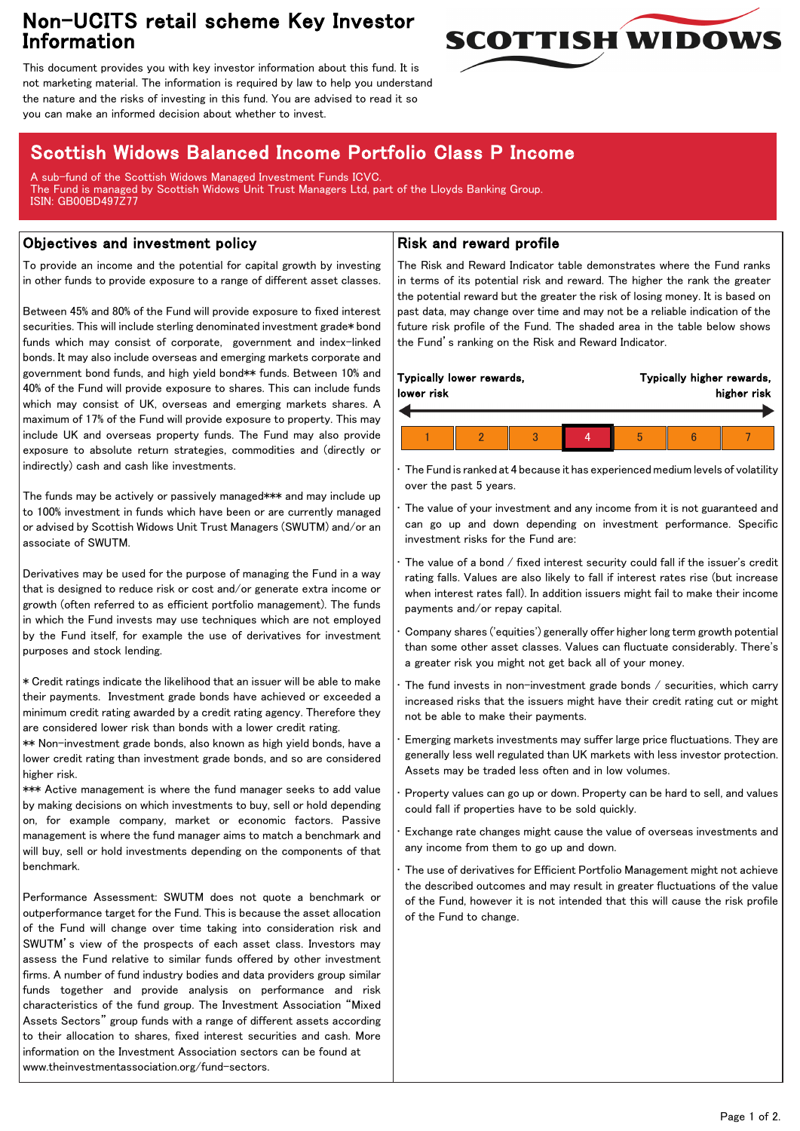## Non-UCITS retail scheme Key Investor Information



This document provides you with key investor information about this fund. It is not marketing material. The information is required by law to help you understand the nature and the risks of investing in this fund. You are advised to read it so you can make an informed decision about whether to invest.

# Scottish Widows Balanced Income Portfolio Class P Income

A sub-fund of the Scottish Widows Managed Investment Funds ICVC. The Fund is managed by Scottish Widows Unit Trust Managers Ltd, part of the Lloyds Banking Group. ISIN: GB00BD497Z77

### Objectives and investment policy

To provide an income and the potential for capital growth by investing in other funds to provide exposure to a range of different asset classes.

Between 45% and 80% of the Fund will provide exposure to fixed interest securities. This will include sterling denominated investment grade\* bond funds which may consist of corporate, government and index-linked bonds. It may also include overseas and emerging markets corporate and government bond funds, and high yield bond\*\* funds. Between 10% and 40% of the Fund will provide exposure to shares. This can include funds which may consist of UK, overseas and emerging markets shares. A maximum of 17% of the Fund will provide exposure to property. This may include UK and overseas property funds. The Fund may also provide exposure to absolute return strategies, commodities and (directly or indirectly) cash and cash like investments.

The funds may be actively or passively managed\*\*\* and may include up to 100% investment in funds which have been or are currently managed or advised by Scottish Widows Unit Trust Managers (SWUTM) and/or an associate of SWUTM.

Derivatives may be used for the purpose of managing the Fund in a way that is designed to reduce risk or cost and/or generate extra income or growth (often referred to as efficient portfolio management). The funds in which the Fund invests may use techniques which are not employed by the Fund itself, for example the use of derivatives for investment purposes and stock lending.

\* Credit ratings indicate the likelihood that an issuer will be able to make their payments. Investment grade bonds have achieved or exceeded a minimum credit rating awarded by a credit rating agency. Therefore they are considered lower risk than bonds with a lower credit rating.

\*\* Non-investment grade bonds, also known as high yield bonds, have a lower credit rating than investment grade bonds, and so are considered higher risk.

\*\*\* Active management is where the fund manager seeks to add value by making decisions on which investments to buy, sell or hold depending on, for example company, market or economic factors. Passive management is where the fund manager aims to match a benchmark and will buy, sell or hold investments depending on the components of that benchmark.

Performance Assessment: SWUTM does not quote a benchmark or outperformance target for the Fund. This is because the asset allocation of the Fund will change over time taking into consideration risk and SWUTM's view of the prospects of each asset class. Investors may assess the Fund relative to similar funds offered by other investment firms. A number of fund industry bodies and data providers group similar funds together and provide analysis on performance and risk characteristics of the fund group. The Investment Association "Mixed Assets Sectors" group funds with a range of different assets according to their allocation to shares, fixed interest securities and cash. More information on the Investment Association sectors can be found at www.theinvestmentassociation.org/fund-sectors.

#### Risk and reward profile

The Risk and Reward Indicator table demonstrates where the Fund ranks in terms of its potential risk and reward. The higher the rank the greater the potential reward but the greater the risk of losing money. It is based on past data, may change over time and may not be a reliable indication of the future risk profile of the Fund. The shaded area in the table below shows the Fund's ranking on the Risk and Reward Indicator.

|  | lower risk | Typically lower rewards, |  |  | Typically higher rewards,<br>higher risk |  |  |  |
|--|------------|--------------------------|--|--|------------------------------------------|--|--|--|
|  |            |                          |  |  |                                          |  |  |  |
|  |            |                          |  |  | b                                        |  |  |  |

• The Fund is ranked at 4 because it has experienced medium levels of volatility over the past 5 years.

The value of your investment and any income from it is not guaranteed and can go up and down depending on investment performance. Specific investment risks for the Fund are:

• The value of a bond / fixed interest security could fall if the issuer's credit rating falls. Values are also likely to fall if interest rates rise (but increase when interest rates fall). In addition issuers might fail to make their income payments and/or repay capital.

• Company shares ('equities') generally offer higher long term growth potential than some other asset classes. Values can fluctuate considerably. There's a greater risk you might not get back all of your money.

The fund invests in non-investment grade bonds  $/$  securities, which carry increased risks that the issuers might have their credit rating cut or might not be able to make their payments.

• Emerging markets investments may suffer large price fluctuations. They are generally less well regulated than UK markets with less investor protection. Assets may be traded less often and in low volumes.

• Property values can go up or down. Property can be hard to sell, and values could fall if properties have to be sold quickly.

• Exchange rate changes might cause the value of overseas investments and any income from them to go up and down.

The use of derivatives for Efficient Portfolio Management might not achieve the described outcomes and may result in greater fluctuations of the value of the Fund, however it is not intended that this will cause the risk profile of the Fund to change.